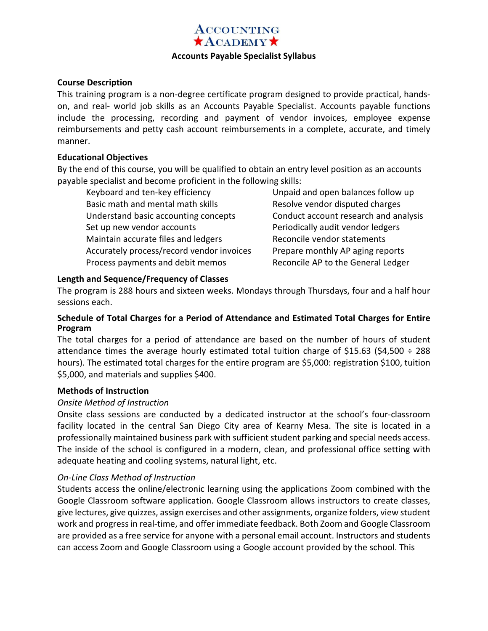# **ACCOUNTING**  $A$ CADEMY $\star$

#### **Accounts Payable Specialist Syllabus**

#### **Course Description**

This training program is a non-degree certificate program designed to provide practical, handson, and real- world job skills as an Accounts Payable Specialist. Accounts payable functions include the processing, recording and payment of vendor invoices, employee expense reimbursements and petty cash account reimbursements in a complete, accurate, and timely manner.

#### **Educational Objectives**

By the end of this course, you will be qualified to obtain an entry level position as an accounts payable specialist and become proficient in the following skills:

Keyboard and ten-key efficiency Basic math and mental math skills Understand basic accounting concepts Set up new vendor accounts Maintain accurate files and ledgers Accurately process/record vendor invoices Process payments and debit memos

Unpaid and open balances follow up Resolve vendor disputed charges Conduct account research and analysis Periodically audit vendor ledgers Reconcile vendor statements Prepare monthly AP aging reports Reconcile AP to the General Ledger

### **Length and Sequence/Frequency of Classes**

The program is 288 hours and sixteen weeks. Mondays through Thursdays, four and a half hour sessions each.

# **Schedule of Total Charges for a Period of Attendance and Estimated Total Charges for Entire Program**

The total charges for a period of attendance are based on the number of hours of student attendance times the average hourly estimated total tuition charge of \$15.63 (\$4,500  $\div$  288 hours). The estimated total charges for the entire program are \$5,000: registration \$100, tuition \$5,000, and materials and supplies \$400.

#### **Methods of Instruction**

#### *Onsite Method of Instruction*

Onsite class sessions are conducted by a dedicated instructor at the school's four-classroom facility located in the central San Diego City area of Kearny Mesa. The site is located in a professionally maintained business park with sufficient student parking and special needs access. The inside of the school is configured in a modern, clean, and professional office setting with adequate heating and cooling systems, natural light, etc.

# *On-Line Class Method of Instruction*

Students access the online/electronic learning using the applications Zoom combined with the Google Classroom software application. Google Classroom allows instructors to create classes, give lectures, give quizzes, assign exercises and other assignments, organize folders, view student work and progress in real-time, and offer immediate feedback. Both Zoom and Google Classroom are provided as a free service for anyone with a personal email account. Instructors and students can access Zoom and Google Classroom using a Google account provided by the school. This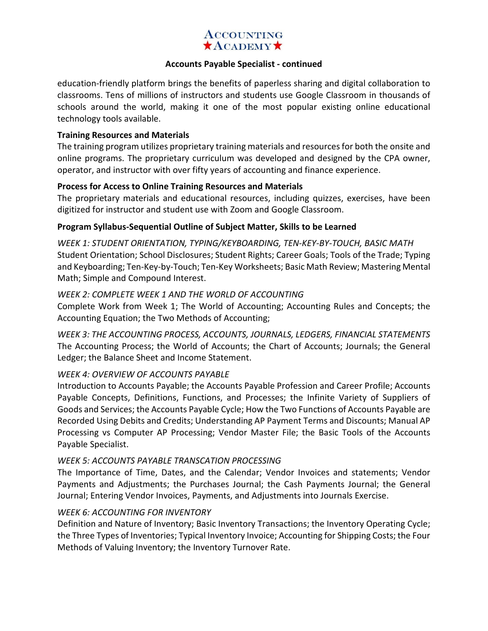# **ACCOUNTING**  $\star$ ACADEMY $\star$

#### **Accounts Payable Specialist - continued**

education-friendly platform brings the benefits of paperless sharing and digital collaboration to classrooms. Tens of millions of instructors and students use Google Classroom in thousands of schools around the world, making it one of the most popular existing online educational technology tools available.

#### **Training Resources and Materials**

The training program utilizes proprietary training materials and resources for both the onsite and online programs. The proprietary curriculum was developed and designed by the CPA owner, operator, and instructor with over fifty years of accounting and finance experience.

#### **Process for Access to Online Training Resources and Materials**

The proprietary materials and educational resources, including quizzes, exercises, have been digitized for instructor and student use with Zoom and Google Classroom.

#### **Program Syllabus-Sequential Outline of Subject Matter, Skills to be Learned**

*WEEK 1: STUDENT ORIENTATION, TYPING/KEYBOARDING, TEN-KEY-BY-TOUCH, BASIC MATH*  Student Orientation; School Disclosures; Student Rights; Career Goals; Tools of the Trade; Typing and Keyboarding; Ten-Key-by-Touch; Ten-Key Worksheets; Basic Math Review; Mastering Mental Math; Simple and Compound Interest.

#### *WEEK 2: COMPLETE WEEK 1 AND THE WORLD OF ACCOUNTING*

Complete Work from Week 1; The World of Accounting; Accounting Rules and Concepts; the Accounting Equation; the Two Methods of Accounting;

*WEEK 3: THE ACCOUNTING PROCESS, ACCOUNTS, JOURNALS, LEDGERS, FINANCIAL STATEMENTS*  The Accounting Process; the World of Accounts; the Chart of Accounts; Journals; the General Ledger; the Balance Sheet and Income Statement.

#### *WEEK 4: OVERVIEW OF ACCOUNTS PAYABLE*

Introduction to Accounts Payable; the Accounts Payable Profession and Career Profile; Accounts Payable Concepts, Definitions, Functions, and Processes; the Infinite Variety of Suppliers of Goods and Services; the Accounts Payable Cycle; How the Two Functions of Accounts Payable are Recorded Using Debits and Credits; Understanding AP Payment Terms and Discounts; Manual AP Processing vs Computer AP Processing; Vendor Master File; the Basic Tools of the Accounts Payable Specialist.

#### *WEEK 5: ACCOUNTS PAYABLE TRANSCATION PROCESSING*

The Importance of Time, Dates, and the Calendar; Vendor Invoices and statements; Vendor Payments and Adjustments; the Purchases Journal; the Cash Payments Journal; the General Journal; Entering Vendor Invoices, Payments, and Adjustments into Journals Exercise.

#### *WEEK 6: ACCOUNTING FOR INVENTORY*

Definition and Nature of Inventory; Basic Inventory Transactions; the Inventory Operating Cycle; the Three Types of Inventories; Typical Inventory Invoice; Accounting for Shipping Costs; the Four Methods of Valuing Inventory; the Inventory Turnover Rate.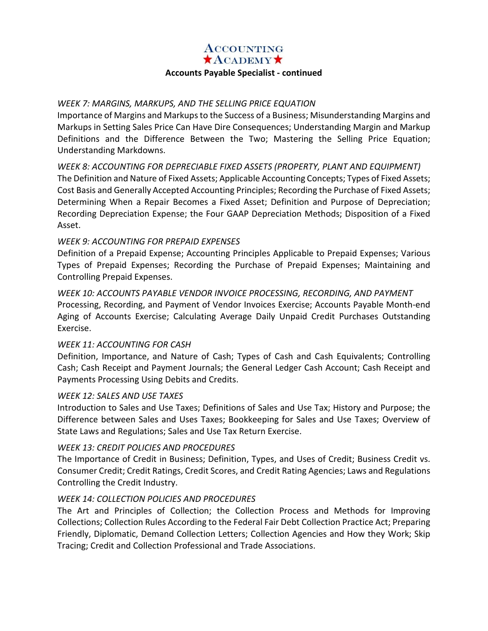#### **ACCOUNTING**  $\star$ ACADEMY $\star$

# **Accounts Payable Specialist - continued**

#### *WEEK 7: MARGINS, MARKUPS, AND THE SELLING PRICE EQUATION*

Importance of Margins and Markups to the Success of a Business; Misunderstanding Margins and Markups in Setting Sales Price Can Have Dire Consequences; Understanding Margin and Markup Definitions and the Difference Between the Two; Mastering the Selling Price Equation; Understanding Markdowns.

*WEEK 8: ACCOUNTING FOR DEPRECIABLE FIXED ASSETS (PROPERTY, PLANT AND EQUIPMENT)*  The Definition and Nature of Fixed Assets; Applicable Accounting Concepts; Types of Fixed Assets; Cost Basis and Generally Accepted Accounting Principles; Recording the Purchase of Fixed Assets; Determining When a Repair Becomes a Fixed Asset; Definition and Purpose of Depreciation; Recording Depreciation Expense; the Four GAAP Depreciation Methods; Disposition of a Fixed Asset.

#### *WEEK 9: ACCOUNTING FOR PREPAID EXPENSES*

Definition of a Prepaid Expense; Accounting Principles Applicable to Prepaid Expenses; Various Types of Prepaid Expenses; Recording the Purchase of Prepaid Expenses; Maintaining and Controlling Prepaid Expenses.

*WEEK 10: ACCOUNTS PAYABLE VENDOR INVOICE PROCESSING, RECORDING, AND PAYMENT*  Processing, Recording, and Payment of Vendor Invoices Exercise; Accounts Payable Month-end Aging of Accounts Exercise; Calculating Average Daily Unpaid Credit Purchases Outstanding Exercise.

#### *WEEK 11: ACCOUNTING FOR CASH*

Definition, Importance, and Nature of Cash; Types of Cash and Cash Equivalents; Controlling Cash; Cash Receipt and Payment Journals; the General Ledger Cash Account; Cash Receipt and Payments Processing Using Debits and Credits.

#### *WEEK 12: SALES AND USE TAXES*

Introduction to Sales and Use Taxes; Definitions of Sales and Use Tax; History and Purpose; the Difference between Sales and Uses Taxes; Bookkeeping for Sales and Use Taxes; Overview of State Laws and Regulations; Sales and Use Tax Return Exercise.

#### *WEEK 13: CREDIT POLICIES AND PROCEDURES*

The Importance of Credit in Business; Definition, Types, and Uses of Credit; Business Credit vs. Consumer Credit; Credit Ratings, Credit Scores, and Credit Rating Agencies; Laws and Regulations Controlling the Credit Industry.

#### *WEEK 14: COLLECTION POLICIES AND PROCEDURES*

The Art and Principles of Collection; the Collection Process and Methods for Improving Collections; Collection Rules According to the Federal Fair Debt Collection Practice Act; Preparing Friendly, Diplomatic, Demand Collection Letters; Collection Agencies and How they Work; Skip Tracing; Credit and Collection Professional and Trade Associations.